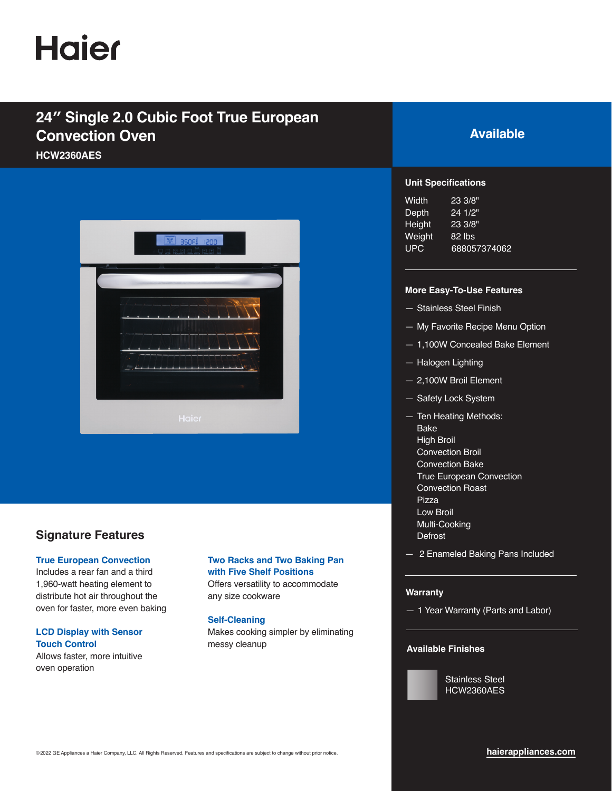## **Haier**

## **24″ Single 2.0 Cubic Foot True European Convection Oven**

**HCW2360AES**



### **Signature Features**

#### **True European Convection**

Includes a rear fan and a third 1,960-watt heating element to distribute hot air throughout the oven for faster, more even baking

#### **LCD Display with Sensor Touch Control**

Allows faster, more intuitive oven operation

#### **Two Racks and Two Baking Pan with Five Shelf Positions**

Offers versatility to accommodate any size cookware

#### **Self-Cleaning**

Makes cooking simpler by eliminating messy cleanup

### **Available**

#### **Unit Specifications**

| Width  | 23 3/8"      |
|--------|--------------|
| Depth  | 241/2"       |
| Height | 23 3/8"      |
| Weight | 82 lbs       |
| UPC    | 688057374062 |

#### **More Easy-To-Use Features**

- Stainless Steel Finish
- My Favorite Recipe Menu Option
- 1,100W Concealed Bake Element
- Halogen Lighting
- 2,100W Broil Element
- Safety Lock System
- Ten Heating Methods: Bake High Broil Convection Broil Convection Bake True European Convection Convection Roast Pizza Low Broil Multi-Cooking Defrost
- 2 Enameled Baking Pans Included

#### **Warranty**

— 1 Year Warranty (Parts and Labor)

#### **Available Finishes**

Stainless Steel HCW2360AES